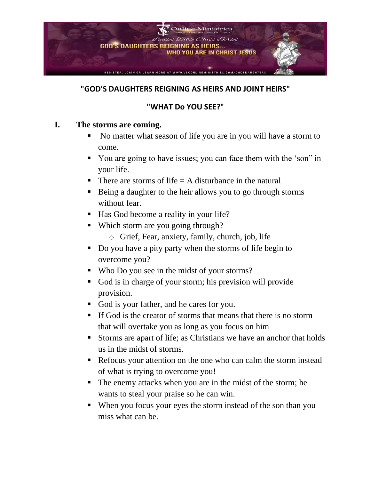

#### **"GOD'S DAUGHTERS REIGNING AS HEIRS AND JOINT HEIRS"**

### **"WHAT Do YOU SEE?"**

#### **I. The storms are coming.**

- No matter what season of life you are in you will have a storm to come.
- You are going to have issues; you can face them with the 'son" in your life.
- $\blacksquare$  There are storms of life  $=$  A disturbance in the natural
- Being a daughter to the heir allows you to go through storms without fear.
- Has God become a reality in your life?
- Which storm are you going through?
	- o Grief, Fear, anxiety, family, church, job, life
- Do you have a pity party when the storms of life begin to overcome you?
- Who Do you see in the midst of your storms?
- God is in charge of your storm; his prevision will provide provision.
- God is your father, and he cares for you.
- **.** If God is the creator of storms that means that there is no storm that will overtake you as long as you focus on him
- Storms are apart of life; as Christians we have an anchor that holds us in the midst of storms.
- Refocus your attention on the one who can calm the storm instead of what is trying to overcome you!
- The enemy attacks when you are in the midst of the storm; he wants to steal your praise so he can win.
- When you focus your eyes the storm instead of the son than you miss what can be.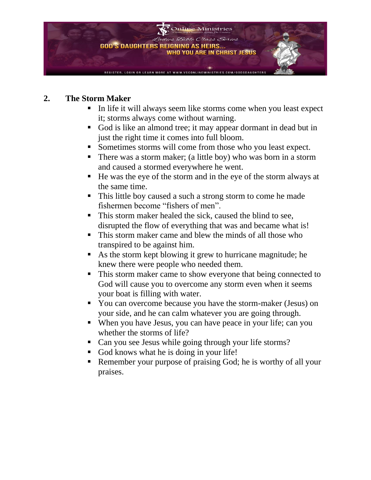

#### **2. The Storm Maker**

- In life it will always seem like storms come when you least expect it; storms always come without warning.
- God is like an almond tree; it may appear dormant in dead but in just the right time it comes into full bloom.
- Sometimes storms will come from those who you least expect.
- There was a storm maker; (a little boy) who was born in a storm and caused a stormed everywhere he went.
- He was the eye of the storm and in the eye of the storm always at the same time.
- This little boy caused a such a strong storm to come he made fishermen become "fishers of men".
- This storm maker healed the sick, caused the blind to see, disrupted the flow of everything that was and became what is!
- This storm maker came and blew the minds of all those who transpired to be against him.
- As the storm kept blowing it grew to hurricane magnitude; he knew there were people who needed them.
- **This storm maker came to show everyone that being connected to** God will cause you to overcome any storm even when it seems your boat is filling with water.
- You can overcome because you have the storm-maker (Jesus) on your side, and he can calm whatever you are going through.
- When you have Jesus, you can have peace in your life; can you whether the storms of life?
- Can you see Jesus while going through your life storms?
- God knows what he is doing in your life!
- Remember your purpose of praising God; he is worthy of all your praises.